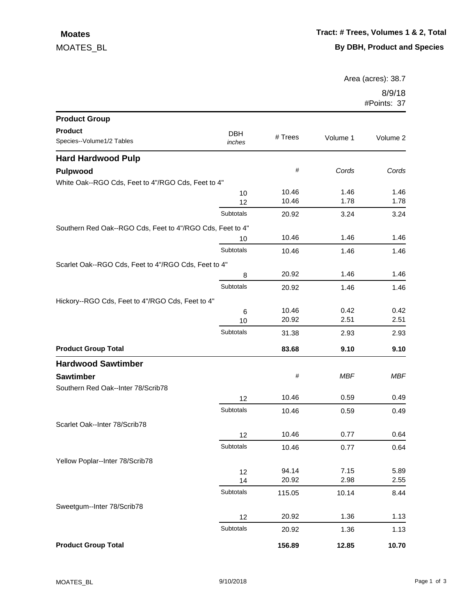## MOATES\_BL  **Moates**

Area (acres): 38.7

8/9/18 #Points: 37

| <b>Product Group</b>                                      |                      |         |            |            |
|-----------------------------------------------------------|----------------------|---------|------------|------------|
| <b>Product</b><br>Species--Volume1/2 Tables               | <b>DBH</b><br>inches | # Trees | Volume 1   | Volume 2   |
| <b>Hard Hardwood Pulp</b>                                 |                      |         |            |            |
| Pulpwood                                                  |                      | #       | Cords      | Cords      |
| White Oak--RGO Cds, Feet to 4"/RGO Cds, Feet to 4"        |                      |         |            |            |
|                                                           | 10                   | 10.46   | 1.46       | 1.46       |
|                                                           | 12                   | 10.46   | 1.78       | 1.78       |
|                                                           | Subtotals            | 20.92   | 3.24       | 3.24       |
| Southern Red Oak--RGO Cds, Feet to 4"/RGO Cds, Feet to 4" |                      |         |            |            |
|                                                           | 10                   | 10.46   | 1.46       | 1.46       |
|                                                           | Subtotals            | 10.46   | 1.46       | 1.46       |
| Scarlet Oak--RGO Cds, Feet to 4"/RGO Cds, Feet to 4"      |                      |         |            |            |
|                                                           | 8                    | 20.92   | 1.46       | 1.46       |
|                                                           | Subtotals            | 20.92   | 1.46       | 1.46       |
| Hickory--RGO Cds, Feet to 4"/RGO Cds, Feet to 4"          |                      |         |            |            |
|                                                           | 6                    | 10.46   | 0.42       | 0.42       |
|                                                           | 10                   | 20.92   | 2.51       | 2.51       |
|                                                           | Subtotals            | 31.38   | 2.93       | 2.93       |
| <b>Product Group Total</b>                                |                      | 83.68   | 9.10       | 9.10       |
| <b>Hardwood Sawtimber</b>                                 |                      |         |            |            |
| <b>Sawtimber</b>                                          |                      | $\#$    | <b>MBF</b> | <b>MBF</b> |
| Southern Red Oak--Inter 78/Scrib78                        |                      |         |            |            |
|                                                           | 12                   | 10.46   | 0.59       | 0.49       |
|                                                           | Subtotals            | 10.46   | 0.59       | 0.49       |
| Scarlet Oak--Inter 78/Scrib78                             |                      |         |            |            |
|                                                           | 12                   | 10.46   | 0.77       | 0.64       |
|                                                           | Subtotals            | 10.46   | 0.77       | 0.64       |
| Yellow Poplar--Inter 78/Scrib78                           |                      |         |            |            |
|                                                           | 12                   | 94.14   | 7.15       | 5.89       |
|                                                           | 14                   | 20.92   | 2.98       | 2.55       |
|                                                           | Subtotals            | 115.05  | 10.14      | 8.44       |
| Sweetgum--Inter 78/Scrib78                                |                      |         |            |            |
|                                                           | 12                   | 20.92   | 1.36       | 1.13       |
|                                                           | Subtotals            | 20.92   | 1.36       | 1.13       |
| <b>Product Group Total</b>                                |                      | 156.89  | 12.85      | 10.70      |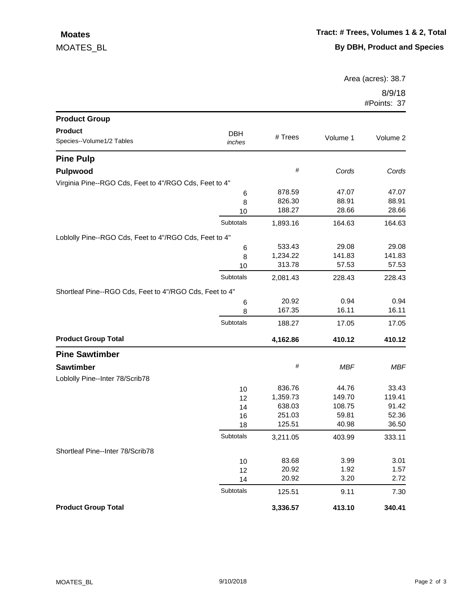## MOATES\_BL  **Moates**

Area (acres): 38.7

8/9/18 #Points: 37

| <b>Product Group</b>                                    |                  |          |          |          |
|---------------------------------------------------------|------------------|----------|----------|----------|
| <b>Product</b>                                          | <b>DBH</b>       |          |          |          |
| Species--Volume1/2 Tables                               | inches           | # Trees  | Volume 1 | Volume 2 |
| <b>Pine Pulp</b>                                        |                  |          |          |          |
| Pulpwood                                                |                  | $\#$     | Cords    | Cords    |
| Virginia Pine--RGO Cds, Feet to 4"/RGO Cds, Feet to 4"  |                  |          |          |          |
|                                                         | 6                | 878.59   | 47.07    | 47.07    |
|                                                         | 8                | 826.30   | 88.91    | 88.91    |
|                                                         | 10               | 188.27   | 28.66    | 28.66    |
|                                                         | Subtotals        | 1,893.16 | 164.63   | 164.63   |
| Loblolly Pine--RGO Cds, Feet to 4"/RGO Cds, Feet to 4"  |                  |          |          |          |
|                                                         | 6                | 533.43   | 29.08    | 29.08    |
|                                                         | 8                | 1,234.22 | 141.83   | 141.83   |
|                                                         | 10               | 313.78   | 57.53    | 57.53    |
|                                                         | <b>Subtotals</b> | 2,081.43 | 228.43   | 228.43   |
| Shortleaf Pine--RGO Cds, Feet to 4"/RGO Cds, Feet to 4" |                  |          |          |          |
|                                                         | 6                | 20.92    | 0.94     | 0.94     |
|                                                         | 8                | 167.35   | 16.11    | 16.11    |
|                                                         | Subtotals        | 188.27   | 17.05    | 17.05    |
| <b>Product Group Total</b>                              |                  | 4,162.86 | 410.12   | 410.12   |
| <b>Pine Sawtimber</b>                                   |                  |          |          |          |
| <b>Sawtimber</b>                                        |                  | $\#$     | MBF      | MBF      |
| Loblolly Pine--Inter 78/Scrib78                         |                  |          |          |          |
|                                                         | 10               | 836.76   | 44.76    | 33.43    |
|                                                         | 12               | 1,359.73 | 149.70   | 119.41   |
|                                                         | 14               | 638.03   | 108.75   | 91.42    |
|                                                         | 16               | 251.03   | 59.81    | 52.36    |
|                                                         | 18               | 125.51   | 40.98    | 36.50    |
|                                                         | Subtotals        | 3,211.05 | 403.99   | 333.11   |
| Shortleaf Pine--Inter 78/Scrib78                        |                  |          |          |          |
|                                                         | 10               | 83.68    | 3.99     | 3.01     |
|                                                         | 12               | 20.92    | 1.92     | 1.57     |
|                                                         | 14               | 20.92    | 3.20     | 2.72     |
|                                                         | Subtotals        | 125.51   | 9.11     | 7.30     |
| <b>Product Group Total</b>                              |                  | 3,336.57 | 413.10   | 340.41   |